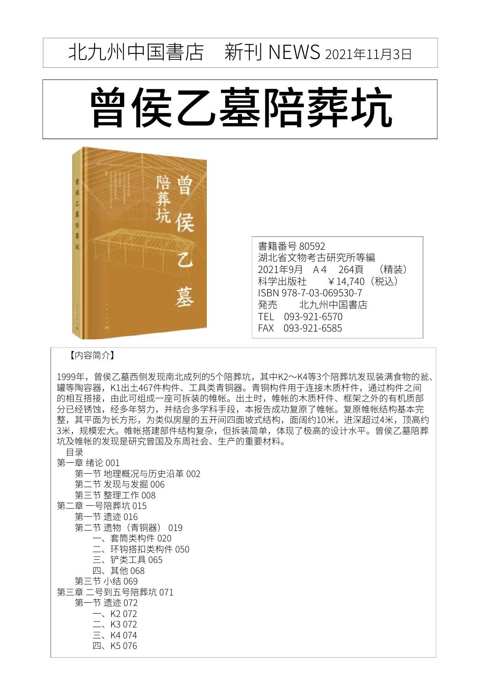## 北九州中国書店 新刊 NEWS 2021年11月3日

## 曾侯乙墓陪葬坑



書籍番号 80592 湖北省文物考古研究所等編 2021年9月 A4 264頁 (精装)<br>科学出版社 ¥14.740 (税込) ¥14,740(税込) ISBN 978-7-03-069530-7<br>発売 北九州中国書店 北九州中国書店 TEL 093-921-6570 FAX 093-921-6585

## 【内容简介】

1999年,曾侯乙墓西侧发现南北成列的5个陪葬坑,其中K2~K4等3个陪葬坑发现装满食物的瓮、 罐等陶容器, K1出土467件构件、工具类青铜器。青铜构件用于连接木质杆件, 通过构件之间 的相互搭接,由此可组成一座可拆装的帷帐。出土时,帷帐的木质杆件、框架之外的有机质部 分已经锈蚀,经多年努力,并结合多学科手段,本报告成功复原了帷帐。复原帷帐结构基本完 整,其平面为长方形,为类似房屋的五开间四面坡式结构,面阔约10米,进深超过4米,顶高约 3米,规模宏大。帷帐搭建部件结构复杂,但拆装简单,体现了极高的设计水平。曾侯乙墓陪葬 坑及帷帐的发现是研究曾国及东周社会、生产的重要材料。

目录 第一章 绪论 001 第一节 地理概况与历史沿革 002 第二节 发现与发掘 006 第三节 整理工作 008 第二章 一号陪葬坑 015 第一节 遗迹 016 第二节 遗物 (青铜器) 019 一、套筒类构件 020 二、环钩搭扣类构件 050 三、铲类工具 065 四、其他 068 第三节 小结 069 第三章 二号到五号陪葬坑 071 第一节 遗迹 072  $-$ , K<sub>2</sub> 072  $\equiv$  K3 072  $\equiv$ , K4 074 四、K5 076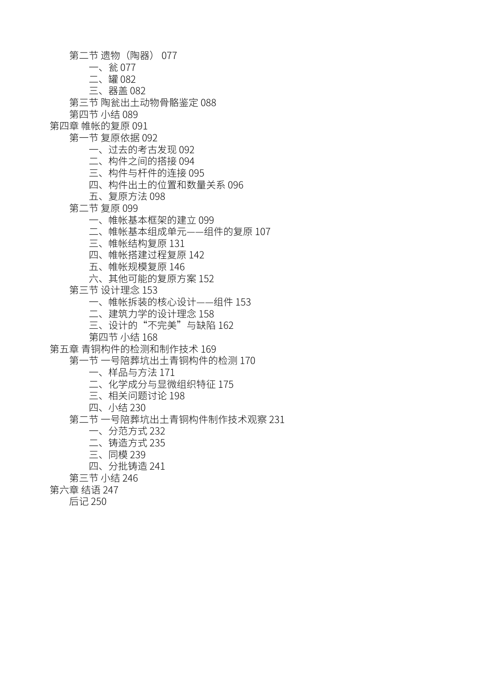- 第二节 遗物 (陶器) 077
	- 一、瓮 077
	- ✳ծ緵 082
	- 三、器盖 082
- 第三节 陶瓮出土动物骨骼鉴定 088
- 第四节 小结 089
- 第四章 帷帐的复原 091
	- 第一节 复原依据 092
		- 一、过去的考古发现 092
		- 二、构件之间的搭接 094
		- 三、构件与杆件的连接 095
		- 四、构件出十的位置和数量关系 096
		- 五、复原方法 098
		- 第二节 复原 099
			- 一、帷帐基本框架的建立 099
			- こ、帷帐基本组成单元——组件的复原 107
			- 三、帷帐结构复原 131
			- 四、帷帐搭建过程复原 142
			- 五、帷帐规模复原 146
			- 六、其他可能的复原方案 152
		- 第三节 设计理念 153
			- 一、帷帐拆装的核心设计——组件 153
			- 二、建筑力学的设计理念 158
			- 三、设计的"不完美"与缺陷 162
			- 第四节 小结 168
- 第五章 青铜构件的检测和制作技术 169
	- 第一节 一号陪葬坑出土青铜构件的检测 170
		- 一、样品与方法 171
		- 二、化学成分与显微组织特征 175
		- 三、相关问题讨论 198
		- 四、小结 230
	- 第二节 一号陪葬坑出土青铜构件制作技术观察 231
		- 一、分范方式 232
		- 二、铸造方式 235
		- 三、同模 239
		- 四、分批铸造 241
	- 第三节 小结 246
- 第六章 结语 247
	- 后记 250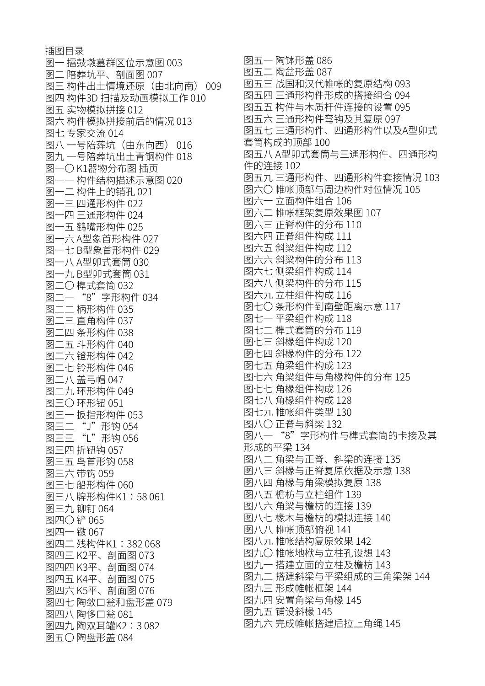插图目录 图一 擂鼓墩墓群区位示意图 003 图二 陪葬坑平、剖面图 007 图三 构件出土情境还原 (由北向南) 009 图四 构件3D 扫描及动画模拟工作 010 图五 实物模拟拼接 012 图六 构件模拟拼接前后的情况 013 图七 专家交流 014 图八 一号陪葬坑(由东向西) 016 图九 一号陪葬坑出土青铜构件 018 图一〇K1器物分布图 插页 图—— 构件结构描述示意图 020 图一二 构件上的销孔 021 图一三 四通形构件 022 图一四 三通形构件 024 图一五 鹤嘴形构件 025 图一六 A型象首形构件 027 图一七 B型象首形构件 029 图一八 A型卯式套筒 030 图一九 B型卯式套筒 031 图二〇 榫式套筒 032 图二一 "8"字形构件 034 ——<br>图二二 柄形构件 035 □<br>图二三 直角构件 037 图二四 条形构件 038 图二五 斗形构件 040 图二六 镫形构件 042 图二七 铃形构件 046 图二八 羔弓帽 047 图二九 环形构件 049 图三○ 环形钮 051 图三一 扳指形构件 053 图ニニ "J" 形钩 054 |图二二 "L″ 形钩 056 图三四 折钮钩 057 图三五 鸟首形钩 058 图三六 带钩 059 图三七 船形构件 060 图三八 牌形构件K1:58 061 图三九 铆钉 064 图四〇 铲 065 图四一 镦 067 图四二 残构件K1:382 068 图四三 K2平、剖面图 073 图四四 K3平、剖面图 074 图四五 K4平、剖面图 075 图四六 K5平、剖面图 076 图四七 陶敛口瓮和盘形盖 079 图四八 陶侈口瓮 081 图四九,陶双耳罐K2:3082 图五〇陶盘形盖 084

图五一陶钵形盖 086 图五二 陶盆形盖 087 图五三 战国和汉代帷帐的复原结构 093 图五四 三通形构件形成的搭接组合 094 图五五 构件与木质杆件连接的设置 095 图五六 三通形构件弯钩及其复原 097 图五七 三通形构件、四通形构件以及A型卯式 套筒构成的顶部 100 图五八A型卯式套筒与三通形构件、四通形构 件的连接 102 图五九 三通形构件、四通形构件套接情况 103 图六〇帷帐顶部与周边构件对位情况 105 图六一 立面构件组合 106 图六二 帷帐框架复原效果图 107 图六三 正脊构件的分布 110 图六四 正脊组件构成 111 图六五 斜梁组件构成 112 图六六 斜梁构件的分布 113 图六七 侧梁组件构成 114 图六八 侧梁构件的分布 115 图六九 立柱组件构成 116 图七〇条形构件到南壁距离示意 117 图七一平梁组件构成 118 图七二 榫式套筒的分布 119 图七三 斜椽组件构成 120 图七四 斜椽构件的分布 122 图七五 角梁组件构成 123 图七六 角梁组件与角椽构件的分布 125 图七七 角椽组件构成 126 图七八 角椽组件构成 128 图七九 帷帐组件类型 130 图八〇 正脊与斜梁 132 图八一"8"字形构件与榫式套筒的卡接及其 形成的平梁 134 图八二 角梁与正脊、斜梁的连接 135 图八三 斜椽与正脊复原依据及示意 138 图八四 角椽与角梁模拟复原 138 图八五 檐枋与立柱组件 139 图八六 角梁与檐枋的连接 139 图八七 椽木与檐枋的模拟连接 140 图八八 帷帐顶部俯视 141 图八九 帷帐结构复原效果 142 图九○ 帷帐地栿与立柱孔设想 143 图九一 搭建立面的立柱及檐枋 143 图九二 搭建斜梁与平梁组成的三角梁架 144 图九三 形成帷帐框架 144 图九四 安置角梁与角椽 145 图九五 铺设斜椽 145 图九六 完成帷帐搭建后拉上角绳 145